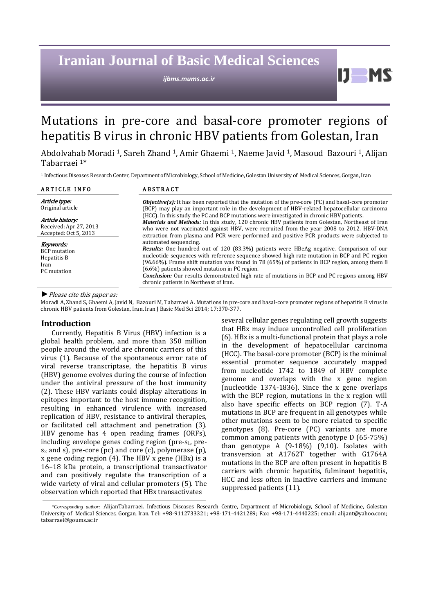# **Iranian Journal of Basic Medical Sciences**

*ijbms.mums.ac.ir*

# Mutations in pre-core and basal-core promoter regions of hepatitis B virus in chronic HBV patients from Golestan, Iran

Abdolvahab Moradi 1, Sareh Zhand 1, Amir Ghaemi 1, Naeme Javid 1, Masoud Bazouri <sup>1</sup>, Alijan Tabarraei 1\*

<sup>1</sup> Infectious Diseases Research Center, Department of Microbiology, School of Medicine, Golestan University of Medical Sciences, Gorgan, Iran

| <b>ARTICLE INFO</b>                                                    | <b>ABSTRACT</b>                                                                                                                                                                                                                                                                                                                                                                                                                                                                                                         |
|------------------------------------------------------------------------|-------------------------------------------------------------------------------------------------------------------------------------------------------------------------------------------------------------------------------------------------------------------------------------------------------------------------------------------------------------------------------------------------------------------------------------------------------------------------------------------------------------------------|
| Article type:<br>Original article                                      | $Objective(s)$ : It has been reported that the mutation of the pre-core (PC) and basal-core promoter<br>(BCP) may play an important role in the development of HBV-related hepatocellular carcinoma                                                                                                                                                                                                                                                                                                                     |
| Article history:<br>Received: Apr 27, 2013<br>Accepted: Oct 5, 2013    | (HCC). In this study the PC and BCP mutations were investigated in chronic HBV patients.<br>Materials and Methods: In this study, 120 chronic HBV patients from Golestan, Northeast of Iran<br>who were not vaccinated against HBV, were recruited from the year 2008 to 2012. HBV-DNA<br>extraction from plasma and PCR were performed and positive PCR products were subjected to                                                                                                                                     |
| Keywords:<br><b>BCP</b> mutation<br>Hepatitis B<br>Iran<br>PC mutation | automated sequencing.<br><i>Results:</i> One hundred out of 120 (83.3%) patients were HBeAg negative. Comparison of our<br>nucleotide sequences with reference sequence showed high rate mutation in BCP and PC region<br>(96.66%). Frame shift mutation was found in 78 (65%) of patients in BCP region, among them 8<br>(6.6%) patients showed mutation in PC region.<br><b>Conclusion:</b> Our results demonstrated high rate of mutations in BCP and PC regions among HBV<br>chronic patients in Northeast of Iran. |

*►*Please cite this paper as:

Moradi A, Zhand S, Ghaemi A, Javid N, Bazouri M, Tabarraei A. Mutations in pre-core and basal-core promoter regions of hepatitis B virus in chronic HBV patients from Golestan, Iran. Iran J Basic Med Sci 2014; 17:370-377.

## **Introduction**

Currently, Hepatitis B Virus (HBV) infection is a global health problem, and more than 350 million people around the world are chronic carriers of this virus (1). Because of the spontaneous error rate of viral reverse transcriptase, the hepatitis B virus (HBV) genome evolves during the course of infection under the antiviral pressure of the host immunity (2). These HBV variants could display alterations in epitopes important to the host immune recognition, resulting in enhanced virulence with increased replication of HBV, resistance to antiviral therapies, or facilitated cell attachment and penetration (3). HBV genome has 4 open reading frames (ORFs), including envelope genes coding region (pre-s<sub>1</sub>, pre $s_2$  and s), pre-core (pc) and core (c), polymerase (p), x gene coding region (4). The HBV x gene (HBx) is a 16–18 kDa protein, a transcriptional transactivator and can positively regulate the transcription of a wide variety of viral and cellular promoters (5). The observation which reported that HBx transactivates

several cellular genes regulating cell growth suggests that HBx may induce uncontrolled cell proliferation (6). HBx is a multi-functional protein that plays a role in the development of hepatocellular carcinoma (HCC). The basal-core promoter (BCP) is the minimal essential promoter sequence accurately mapped from nucleotide 1742 to 1849 of HBV complete genome and overlaps with the x gene region (nucleotide 1374-1836). Since the x gene overlaps with the BCP region, mutations in the x region will also have specific effects on BCP region (7). T-A mutations in BCP are frequent in all genotypes while other mutations seem to be more related to specific genotypes (8). Pre-core (PC) variants are more common among patients with genotype D (65-75%) than genotype A (9-18%) (9,10). Isolates with transversion at A1762T together with G1764A mutations in the BCP are often present in hepatitis B carriers with chronic hepatitis, fulminant hepatitis, HCC and less often in inactive carriers and immune suppressed patients (11).

11

*<sup>\*</sup>Corresponding author:* AlijanTabarraei. Infectious Diseases Research Centre, Department of Microbiology, School of Medicine, Golestan University of Medical Sciences, Gorgan, Iran. Tel: +98-9112733321; +98-171-4421289; Fax: +98-171-4440225; email: alijant@yahoo.com; tabarraei@goums.ac.ir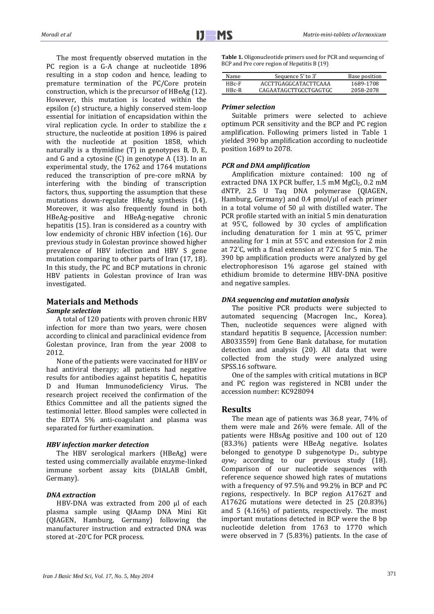The most frequently observed mutation in the PC region is a G-A change at nucleotide 1896 resulting in a stop codon and hence, leading to premature termination of the PC/Core protein construction, which is the precursor of HBeAg (12). However, this mutation is located within the epsilon (ε) structure, a highly conserved stem-loop essential for initiation of encapsidation within the viral replication cycle. In order to stabilize the ε structure, the nucleotide at position 1896 is paired with the nucleotide at position 1858, which naturally is a thymidine  $(T)$  in genotypes B, D, E, and G and a cytosine (C) in genotype A (13). In an experimental study, the 1762 and 1764 mutations reduced the transcription of pre-core mRNA by interfering with the binding of transcription factors, thus, supporting the assumption that these mutations down-regulate HBeAg synthesis (14). Moreover, it was also frequently found in both HBeAg-positive and HBeAg-negative chronic hepatitis (15). Iran is considered as a country with low endemicity of chronic HBV infection (16). Our previous study in Golestan province showed higher prevalence of HBV infection and HBV S gene mutation comparing to other parts of Iran (17, 18). In this study, the PC and BCP mutations in chronic HBV patients in Golestan province of Iran was investigated.

## **Materials and Methods**

*Sample selection*

A total of 120 patients with proven chronic HBV infection for more than two years, were chosen according to clinical and paraclinical evidence from Golestan province, Iran from the year 2008 to 2012.

None of the patients were vaccinated for HBV or had antiviral therapy; all patients had negative results for antibodies against hepatitis C, hepatitis D and Human Immunodeficiency Virus. The research project received the confirmation of the Ethics Committee and all the patients signed the testimonial letter. Blood samples were collected in the EDTA 5% anti-coagulant and plasma was separated for further examination.

## *HBV infection marker detection*

The HBV serological markers (HBeAg) were tested using commercially available enzyme-linked immune sorbent assay kits (DIALAB GmbH, Germany).

## *DNA extraction*

HBV-DNA was extracted from 200 μl of each plasma sample using QIAamp DNA Mini Kit (QIAGEN, Hamburg, Germany) following the manufacturer instruction and extracted DNA was stored at -20°C for PCR process.

**Table 1.** Oligonucleotide primers used for PCR and sequencing of BCP and Pre core region of Hepatitis B (19)

| Name    | Sequence 5' to 3'     | Base position |
|---------|-----------------------|---------------|
| $HBr-F$ | ACCTTGAGGCATACTTCAAA  | 1689-1708     |
| $HBr-R$ | CAGAATAGCTTGCCTGAGTGC | 2058-2078     |

## *Primer selection*

Suitable primers were selected to achieve optimum PCR sensitivity and the BCP and PC region amplification. Following primers listed in Table 1 yielded 390 bp amplification according to nucleotide position 1689 to 2078.

## *PCR and DNA amplification*

Amplification mixture contained: 100 ng of extracted DNA 1X PCR buffer,  $1.5 \text{ mM } MgCl_2$ ,  $0.2 \text{ mM}$ dNTP, 2.5 U Taq DNA polymerase (QIAGEN, Hamburg, Germany) and 0.4 pmol/μl of each primer in a total volume of 50 μl with distilled water. The PCR profile started with an initial 5 min denaturation at 95°C, followed by 30 cycles of amplification including denaturation for 1 min at 95°C, primer annealing for 1 min at 55°C and extension for 2 min at 72°C, with a final extension at 72°C for 5 min. The 390 bp amplification products were analyzed by gel electrophoresison 1% agarose gel stained with ethidium bromide to determine HBV-DNA positive and negative samples.

## *DNA sequencing and mutation analysis*

The positive PCR products were subjected to automated sequencing (Macrogen Inc., Korea). Then, nucleotide sequences were aligned with standard hepatitis B sequence, [Accession number: AB033559] from Gene Bank database, for mutation detection and analysis (20). All data that were collected from the study were analyzed using SPSS.16 software.

One of the samples with critical mutations in BCP and PC region was registered in NCBI under the accession number: KC928094

## **Results**

The mean age of patients was 36.8 year, 74% of them were male and 26% were female. All of the patients were HBsAg positive and 100 out of 120 (83.3%) patients were HBeAg negative. Isolates belonged to genotype D subgenotype  $D_1$ , subtype *ayw2* according to our previous study (18). Comparison of our nucleotide sequences with reference sequence showed high rates of mutations with a frequency of 97.5% and 99.2% in BCP and PC regions, respectively. In BCP region A1762T and A1762G mutations were detected in 25 (20.83%) and 5 (4.16%) of patients, respectively. The most important mutations detected in BCP were the 8 bp nucleotide deletion from 1763 to 1770 which were observed in 7 (5.83%) patients. In the case of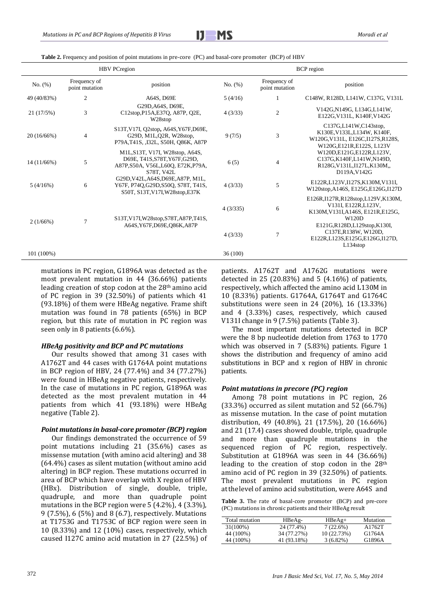

**Table 2.** Frequency and position of point mutations in pre-core (PC) and basal-core promoter (BCP) of HBV

|                    |                                        | <b>HBV</b> PCregion                                                                                                   | <b>BCP</b> region |                                                                                                              |                                                                                                                        |  |
|--------------------|----------------------------------------|-----------------------------------------------------------------------------------------------------------------------|-------------------|--------------------------------------------------------------------------------------------------------------|------------------------------------------------------------------------------------------------------------------------|--|
| No. (%)            | Frequency of<br>point mutation         | position                                                                                                              | No. (%)           | Frequency of<br>point mutation                                                                               | position                                                                                                               |  |
| 49 (40/83%)        | $\mathfrak{2}$                         | A64S, D69E                                                                                                            | 5(4/16)           |                                                                                                              | C148W, R128D, L141W, C137G, V131L                                                                                      |  |
| 21(17/5%)          | 3                                      | G29D.A64S, D69E.<br>C12stop, P15A, E37Q, A87P, Q2E,<br>W28stop                                                        | 4(3/33)           | $\overline{2}$                                                                                               | V142G, N149G, L134G, L141W,<br>E122G, V131L, K140F, V142G                                                              |  |
| 20 (16/66%)        | $\overline{4}$                         | S13T, V17I, Q2stop, A64S, Y67F, D69E,<br>G29D, M1L, Q2R, W28stop,<br>P79A, T41S, , I32L, S50H, Q86K, A87P             | 9(7/5)            | 3                                                                                                            | C137G,L141W,C143stop,<br>K130E, V133L, L134W, K140F,<br>W120G, V131L, E126C, I127S, R128S,<br>W120G,E121R,E122S, L123V |  |
| $14(11/66\%)$      | 5                                      | M1L, S13T, V17I, W28stop, A64S,<br>D69E, T41S, S78T, Y67F, G29D,<br>A87P, S50A, V56L, L60Q, E72K, P79A,<br>S78T, V42L | 6(5)              | 4                                                                                                            | W120D,E121G,E122R,L123V,<br>C137G, K140F, L141W, N149D,<br>R128G, V131L, I127L, K130M.,<br>D119A, V142G                |  |
| 5(4/16%)           | 6                                      | G29D, V42L, A64S, D69E, A87P, M1L,<br>Y67F, P74Q, G29D, S50Q, S78T, T41S,<br>S50T, S13T, V17I, W28stop, E37K          | 4(3/33)           | 5                                                                                                            | E122R,L123V,I127S,K130M,V131I,<br>W120stop, A146S, E125G, E126G, I127D                                                 |  |
| $\tau$<br>2(1/66%) | S13T, V17I, W28stop, S78T, A87P, T41S, | 4(3/335)                                                                                                              | 6                 | E126R, I127R, R128stop, L129V, K130M,<br>V131I, E122R, L123V,<br>K130M, V131I, A146S, E121R, E125G,<br>W120D |                                                                                                                        |  |
|                    |                                        | A64S, Y67F, D69E, O86K, A87P                                                                                          | 4(3/33)           | $\overline{7}$                                                                                               | E121G,R128D,L129stop,K130I,<br>C137E, R138W, W120D,<br>E122R,L123S,E125G,E126G,I127D,<br>L134stop                      |  |
| 101 (100%)         |                                        |                                                                                                                       | 36(100)           |                                                                                                              |                                                                                                                        |  |
|                    |                                        |                                                                                                                       |                   |                                                                                                              |                                                                                                                        |  |

mutations in PC region, G1896A was detected as the most prevalent mutation in 44 (36.66%) patients leading creation of stop codon at the 28th amino acid of PC region in 39 (32.50%) of patients which 41 (93.18%) of them were HBeAg negative. Frame shift mutation was found in 78 patients (65%) in BCP region, but this rate of mutation in PC region was seen only in 8 patients (6.6%).

#### *HBeAg positivity and BCP and PC mutations*

Our results showed that among 31 cases with A1762T and 44 cases with G1764A point mutations in BCP region of HBV, 24 (77.4%) and 34 (77.27%) were found in HBeAg negative patients, respectively. In the case of mutations in PC region, G1896A was detected as the most prevalent mutation in 44 patients from which 41 (93.18%) were HBeAg negative (Table 2).

#### *Point mutations in basal-core promoter (BCP) region*

Our findings demonstrated the occurrence of 59 point mutations including 21 (35.6%) cases as missense mutation (with amino acid altering) and 38 (64.4%) cases as silent mutation (without amino acid altering) in BCP region. These mutations occurred in area of BCP which have overlap with X region of HBV (HBx). Distribution of single, double, triple, quadruple, and more than quadruple point mutations in the BCP region were 5 (4.2%), 4 (3.3%), 9 (7.5%), 6 (5%) and 8 (6.7), respectively. Mutations at T1753G and T1753C of BCP region were seen in 10 (8.33%) and 12 (10%) cases, respectively, which caused I127C amino acid mutation in 27 (22.5%) of patients. A1762T and A1762G mutations were detected in 25 (20.83%) and 5 (4.16%) of patients, respectively, which affected the amino acid L130M in 10 (8.33%) patients. G1764A, G1764T and G1764C substitutions were seen in 24 (20%), 16 (13.33%) and 4 (3.33%) cases, respectively, which caused V131I change in 9 (7.5%) patients (Table 3).

The most important mutations detected in BCP were the 8 bp nucleotide deletion from 1763 to 1770 which was observed in 7 (5.83%) patients. Figure 1 shows the distribution and frequency of amino acid substitutions in BCP and x region of HBV in chronic patients.

#### *Point mutations in precore (PC) region*

Among 78 point mutations in PC region, 26 (33.3%) occurred as silent mutation and 52 (66.7%) as missense mutation. In the case of point mutation distribution, 49 (40.8%), 21 (17.5%), 20 (16.66%) and 21 (17.4) cases showed double, triple, quadruple and more than quadruple mutations in the sequenced region of PC region, respectively. Substitution at G1896A was seen in 44 (36.66%) leading to the creation of stop codon in the 28th amino acid of PC region in 39 (32.50%) of patients. The most prevalent mutations in PC region atthelevel of amino acid substitution, were A64S and

|  |  | <b>Table 3.</b> The rate of basal-core promoter (BCP) and pre-core |  |  |
|--|--|--------------------------------------------------------------------|--|--|
|  |  | (PC) mutations in chronic patients and their HBeAg result          |  |  |

| Total mutation | $HBeAg-$    | $HBeAg+$    | Mutation |
|----------------|-------------|-------------|----------|
| 31(100%)       | 24 (77.4%)  | 7(22.6%)    | A1762T   |
| 44 (100%)      | 34 (77.27%) | 10(22.73%)  | G1764A   |
| 44 (100%)      | 41 (93.18%) | $3(6.82\%)$ | G1896A   |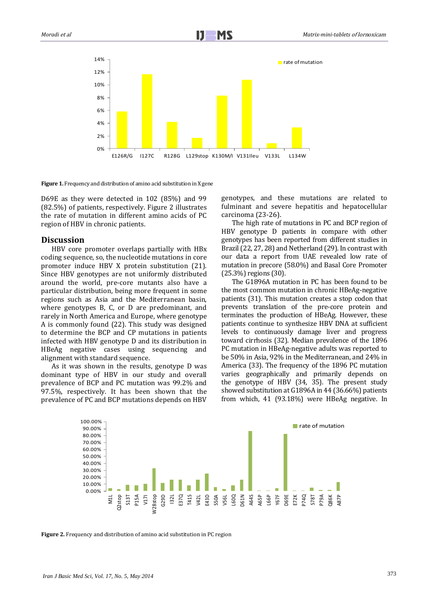

Figure 1. Frequency and distribution of amino acid substitution in X gene

D69E as they were detected in 102 (85%) and 99 (82.5%) of patients, respectively. Figure 2 illustrates the rate of mutation in different amino acids of PC region of HBV in chronic patients.

#### **Discussion**

HBV core promoter overlaps partially with HBx coding sequence, so, the nucleotide mutations in core promoter induce HBV X protein substitution (21). Since HBV genotypes are not uniformly distributed around the world, pre-core mutants also have a particular distribution, being more frequent in some regions such as Asia and the Mediterranean basin, where genotypes B, C, or D are predominant, and rarely in North America and Europe, where genotype A is commonly found (22). This study was designed to determine the BCP and CP mutations in patients infected with HBV genotype D and its distribution in HBeAg negative cases using sequencing and alignment with standard sequence.

As it was shown in the results, genotype D was dominant type of HBV in our study and overall prevalence of BCP and PC mutation was 99.2% and 97.5%, respectively. It has been shown that the genotypes, and these mutations are related to fulminant and severe hepatitis and hepatocellular carcinoma (23-26).

The high rate of mutations in PC and BCP region of HBV genotype D patients in compare with other genotypes has been reported from different studies in Brazil (22, 27, 28) and Netherland (29). In contrast with our data a report from UAE revealed low rate of mutation in precore (58.0%) and Basal Core Promoter (25.3%) regions (30).

The G1896A mutation in PC has been found to be the most common mutation in chronic HBeAg-negative patients (31). This mutation creates a stop codon that prevents translation of the pre-core protein and terminates the production of HBeAg. However, these patients continue to synthesize HBV DNA at sufficient levels to continuously damage liver and progress toward cirrhosis (32). Median prevalence of the 1896 PC mutation in HBeAg-negative adults was reported to be 50% in Asia, 92% in the Mediterranean, and 24% in America (33). The frequency of the 1896 PC mutation varies geographically and primarily depends on the genotype of HBV (34, 35). The present study showed substitution at G1896A in 44 (36.66%) patients from which, 41 (93.18%) were HBeAg negative. In



**Figure 2.** Frequency and distribution of amino acid substitution in PC region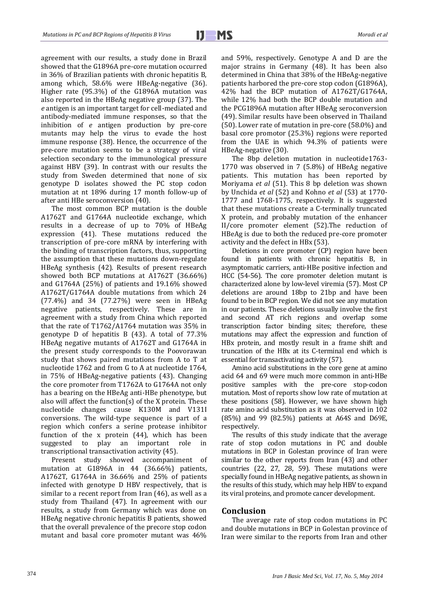agreement with our results, a study done in Brazil showed that the G1896A pre-core mutation occurred in 36% of Brazilian patients with chronic hepatitis B, among which, 58.6% were HBeAg-negative (36). Higher rate (95.3%) of the G1896A mutation was also reported in the HBeAg negative group (37). The *e* antigen is an important target for cell-mediated and antibody-mediated immune responses, so that the inhibition of *e* antigen production by pre-core mutants may help the virus to evade the host immune response (38). Hence, the occurrence of the pre-core mutation seems to be a strategy of viral selection secondary to the immunological pressure against HBV (39). In contrast with our results the study from Sweden determined that none of six genotype D isolates showed the PC stop codon mutation at nt 1896 during 17 month follow-up of after anti HBe seroconversion (40).

The most common BCP mutation is the double A1762T and G1764A nucleotide exchange, which results in a decrease of up to 70% of HBeAg expression (41). These mutations reduced the transcription of pre-core mRNA by interfering with the binding of transcription factors, thus, supporting the assumption that these mutations down-regulate HBeAg synthesis (42). Results of present research showed both BCP mutations at A1762T (36.66%) and G1764A (25%) of patients and 19.16% showed A1762T/G1764A double mutations from which 24 (77.4%) and 34 (77.27%) were seen in HBeAg negative patients, respectively. These are in agreement with a study from China which reported that the rate of T1762/A1764 mutation was 35% in genotype D of hepatitis B (43). A total of 77.3% HBeAg negative mutants of A1762T and G1764A in the present study corresponds to the Poovorawan study that shows paired mutations from A to T at nucleotide 1762 and from G to A at nucleotide 1764, in 75% of HBeAg-negative patients (43). Changing the core promoter from T1762A to G1764A not only has a bearing on the HBeAg anti-HBe phenotype, but also will affect the function(s) of the X protein. These nucleotide changes cause K130M and V131I conversions. The wild-type sequence is part of a region which confers a serine protease inhibitor function of the x protein (44), which has been suggested to play an important role in transcriptional transactivation activity (45).

Present study showed accompaniment of mutation at G1896A in 44 (36.66%) patients, A1762T, G1764A in 36.66% and 25% of patients infected with genotype D HBV respectively, that is similar to a recent report from Iran (46), as well as a study from Thailand (47). In agreement with our results, a study from Germany which was done on HBeAg negative chronic hepatitis B patients, showed that the overall prevalence of the precore stop codon mutant and basal core promoter mutant was 46% and 59%, respectively. Genotype A and D are the major strains in Germany (48). It has been also determined in China that 38% of the HBeAg-negative patients harbored the pre-core stop codon (G1896A), 42% had the BCP mutation of A1762T/G1764A, while 12% had both the BCP double mutation and the PCG1896A mutation after HBeAg seroconversion (49). Similar results have been observed in Thailand (50). Lower rate of mutation in pre-core (58.0%) and basal core promotor (25.3%) regions were reported from the UAE in which 94.3% of patients were HBeAg-negative (30).

The 8bp deletion mutation in nucleotide1763- 1770 was observed in 7 (5.8%) of HBeAg negative patients. This mutation has been reported by Moriyama *et al* (51). This 8 bp deletion was shown by Unchida *et al* (52) and Kohno *et al* (53) at 1770- 1777 and 1768-1775, respectively. It is suggested that these mutations create a C-terminally truncated X protein, and probably mutation of the enhancer II/core promoter element (52).The reduction of HBeAg is due to both the reduced pre-core promoter activity and the defect in HBx (53).

Deletions in core promoter (CP) region have been found in patients with chronic hepatitis B, in asymptomatic carriers, anti-HBe positive infection and HCC (54-56). The core promoter deletion mutant is characterized alone by low-level viremia (57). Most CP deletions are around 18bp to 21bp and have been found to be in BCP region. We did not see any mutation in our patients. These deletions usually involve the first and second AT rich regions and overlap some transcription factor binding sites; therefore, these mutations may affect the expression and function of HBx protein, and mostly result in a frame shift and truncation of the HBx at its C-terminal end which is essential for transactivating activity (57).

Amino acid substitutions in the core gene at amino acid 64 and 69 were much more common in anti-HBe positive samples with the pre-core stop-codon mutation. Most of reports show low rate of mutation at these positions (58). However, we have shown high rate amino acid substitution as it was observed in 102 (85%) and 99 (82.5%) patients at A64S and D69E, respectively.

The results of this study indicate that the average rate of stop codon mutations in PC and double mutations in BCP in Golestan province of Iran were similar to the other reports from Iran (43) and other countries (22, 27, 28, 59). These mutations were specially found in HBeAg negative patients, as shown in the results of this study, which may help HBV to expand its viral proteins, and promote cancer development.

## **Conclusion**

The average rate of stop codon mutations in PC and double mutations in BCP in Golestan province of Iran were similar to the reports from Iran and other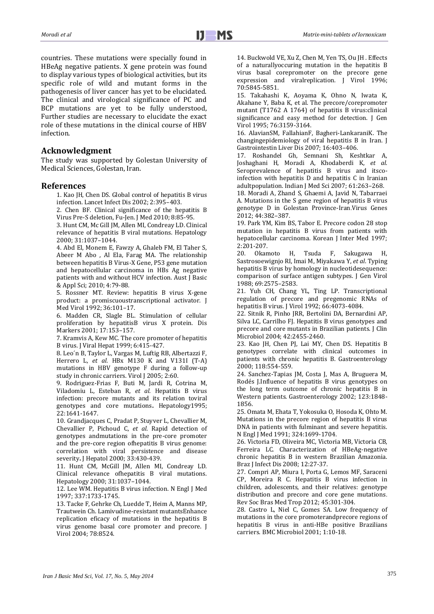countries. These mutations were specially found in HBeAg negative patients. X gene protein was found to display various types of biological activities, but its specific role of wild and mutant forms in the pathogenesis of liver cancer has yet to be elucidated. The clinical and virological significance of PC and BCP mutations are yet to be fully understood, Further studies are necessary to elucidate the exact role of these mutations in the clinical course of HBV infection.

## **Acknowledgment**

The study was supported by Golestan University of Medical Sciences, Golestan, Iran.

## **References**

1. Kao JH, Chen DS. Global control of hepatitis B virus infection. Lancet Infect Dis 2002; 2:395–403.

2. Chen BF*.* Clinical significance of the hepatitis B Virus Pre-S deletion, Fu-Jen. J Med 2010; 8:85-95.

3. Hunt CM, Mc Gill JM, Allen MI, Condreay LD. Clinical relevance of hepatitis B viral mutations. Hepatology 2000; 31:1037–1044.

4. Abd El, Monem E, Fawzy A, Ghaleb FM, El Taher S, Abeer M Abo , Al Ela, Farag MA. The relationship between hepatitis B Virus-X Gene, P53 gene mutation and hepatocellular carcinoma in HBs Ag negative patients with and without HCV infection. Aust J Basic & Appl Sci; 2010; 4:79-88.

5. Rossner MT. Review: hepatitis B virus X-gene product: a promiscuoustranscriptional activator. J Med Virol 1992; 36:101–17.

6. Madden CR, Slagle BL. Stimulation of cellular proliferation by hepatitisB virus X protein. Dis Markers 2001; 17:153–157.

7. Kramvis A, Kew MC. The core promoter of hepatitis B virus. J Viral Hepat 1999; 6:415-427.

8. Leo´n B, Taylor L, Vargas M, Luftig RB, Albertazzi F, Herrero L, *et al.* HBx M130 K and V131I (T-A) mutations in HBV genotype F during a follow-up study in chronic carriers. Virol J 2005; 2:60.

9. Rodriguez-Frias F, Buti M, Jardi R, Cotrina M, Viladomiu L, Esteban R, *et al.* Hepatitis B virus infection: precore mutants and its relation toviral genotypes and core mutations**.** Hepatology1995; 22:1641-1647.

10. Grandjacques C, Pradat P, Stuyver L, Chevallier M, Chevallier P, Pichoud C, *et al*. Rapid detection of genotypes andmutations in the pre-core promoter and the pre-core region ofhepatitis B virus genome: correlation with viral persistence and disease severity**.** J Hepatol 2000; 33:430-439.

11. Hunt CM, McGill JM, Allen MI, Condreay LD. Clinical relevance ofhepatitis B viral mutations. Hepatology 2000; 31:1037–1044.

12. Lee WM. Hepatitis B virus infection. N Engl J Med 1997; 337:1733-1745.

13. Tacke F, Gehrke Ch, Luedde T, Heim A, Manns MP, Trautwein Ch. Lamivudine-resistant mutantsEnhance replication eficacy of mutations in the hepatitis B virus genome basal core promoter and precore. J Virol 2004; 78:8524.

14. Buckwold VE, Xu Z, Chen M, Yen TS, Ou JH *.* Effects of a naturallyoccuring mutation in the hepatitis B virus basal corepromoter on the precore gene expression and viralreplication. J Virol 1996; 70:5845-5851.

15. Takahashi K, Aoyama K, Ohno N, Iwata K, Akahane Y, Baba K, et al. The precore/corepromoter mutant (T1762 A 1764) of hepatitis B virus:clinical significance and easy method for detection. J Gen Virol 1995; 76:3159-3164.

16. AlavianSM, FallahianF, Bagheri-LankaraniK. The changingepidemiology of viral hepatitis B in Iran. J Gastrointestin Liver Dis 2007; 16:403–406.

17. Roshandel Gh, Semnani Sh, Keshtkar A, Joshaghani H, Moradi A, Khodaberdi K, *et al*. Seroprevalence of hepatitis B virus and itscoinfection with hepatitis D and hepatitis C in Iranian adultpopulation. Indian J Med Sci 2007; 61:263–268.

18. Moradi A, Zhand S, Ghaemi A, Javid N, Tabarraei A. Mutations in the S gene region of hepatitis B virus genotype D in Golestan Province-Iran.Virus Genes 2012; 44:382–387.

19. Park YM, Kim BS, Tabor E. Precore codon 28 stop mutation in hepatitis B virus from patients with hepatocellular carcinoma. Korean J Inter Med 1997; 2:201-207.

20. Okamoto H, Tsuda F, Sakugawa H, Sastrosoewignjo RI, Imai M, Miyakawa Y, *et al*. Typing hepatitis B virus by homology in nucleotidesequence: comparison of surface antigen subtypes. J Gen Virol 1988; 69:2575–2583.

21. Yuh CH, Chang YL, Ting LP. Transcriptional regulation of precore and pregenomic RNAs of hepatitis B virus. J Virol 1992; 66:4073-4084.

22. Sitnik R, Pinho JRR, Bertolini DA, Bernardini AP, Silva LC, Carrilho FJ. Hepatitis B virus genotypes and precore and core mutants in Brazilian patients. J Clin Microbiol 2004; 42:2455-2460.

23. Kao JH, Chen PJ, Lai MY, Chen DS. Hepatitis B genotypes correlate with clinical outcomes in patients with chronic hepatitis B. Gastroenterology 2000; 118:554-559.

24. Sanchez-Tapias JM, Costa J, Mas A, Bruguera M, Rodés J.Influence of hepatitis B virus genotypes on the long term outcome of chronic hepatitis B in Western patients. Gastroenterology 2002; 123:1848- 1856.

25. Omata M, Ehata T, Yokosuka O, Hosoda K, Ohto M. Mutations in the precore region of hepatitis B virus DNA in patients with fulminant and severe hepatitis. N Engl J Med 1991; 324:1699-1704.

26. Victoria FD, Oliveira MC, Victoria MB, Victoria CB, Ferreira LC. Characterization of HBeAg-negative chronic hepatitis B in western Brazilian Amazonia. Braz J Infect Dis 2008; 12:27-37.

27. Compri AP, Miura I, Porta G, Lemos MF, Saraceni CP, Moreira R C. Hepatitis B virus infection in children, adolescents, and their relatives: genotype distribution and precore and core gene mutations. Rev Soc Bras Med Trop 2012; 45:301-304.

28. Castro L, Niel C, Gomes SA. Low frequency of mutations in the core promoterandprecore regions of hepatitis B virus in anti-HBe positive Brazilians carriers. BMC Microbiol 2001; 1:10-18.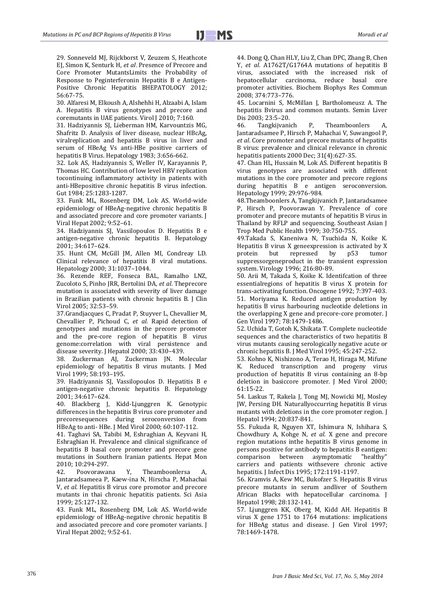29. Sonneveld MJ, Rijckborst V, Zeuzem S, Heathcote EJ, Simon K, Senturk H, *et al*. Presence of Precore and Core Promoter MutantsLimits the Probability of Response to Peginterferonin Hepatitis B e Antigen-Positive Chronic Hepatitis BHEPATOLOGY 2012; 56:67-75.

30. Alfaresi M, Elkoush A, Alshehhi H, Alzaabi A, Islam A. Hepatitis B virus genotypes and precore and coremutants in UAE patients. Virol J 2010; 7:160.

31. Hadziyannis SJ, Lieberman HM, Karvountzis MG, Shafritz D. Analysis of liver disease, nuclear HBcAg, viralreplication and hepatitis B virus in liver and serum of HBeAg Vs anti-HBe positive carriers of hepatitis B Virus. Hepatology 1983; 3:656-662.

32. Lok AS, Hadziyannis S, Weller IV, Karayannis P, Thomas HC. Contribution of low level HBV replication tocontinuing inflammatory activity in patients with anti-HBepositive chronic hepatitis B virus infection. Gut 1984; 25:1283-1287.

33. Funk ML, Rosenberg DM, Lok AS. World-wide epidemiology of HBeAg-negative chronic hepatitis B and associated precore and core promoter variants. J Viral Hepat 2002; 9:52–61.

34. Hadziyannis SJ, Vassilopoulos D. Hepatitis B e antigen-negative chronic hepatitis B. Hepatology 2001; 34:617–624.

35. Hunt CM, McGill JM, Allen MI, Condreay LD. Clinical relevance of hepatitis B viral mutations. Hepatology 2000; 31:1037–1044.

36. Rezende REF, Fonseca BAL, Ramalho LNZ, Zucoloto S, Pinho JRR, Bertolini DA, *et al*. Theprecore mutation is associated with severity of liver damage in Brazilian patients with chronic hepatitis B. J Clin Virol 2005; 32:53–59.

37.Grandjacques C, Pradat P, Stuyver L, Chevallier M, Chevallier P, Pichoud C, *et al.* Rapid detection of genotypes and mutations in the precore promoter and the pre-core region of hepatitis B virus genome:correlation with viral persistence and disease severity. J Hepatol 2000; 33:430–439.

38. Zuckerman AJ, Zuckerman JN. Molecular epidemiology of hepatitis B virus mutants. J Med Virol 1999; 58:193–195.

39. Hadziyannis SJ, Vassilopoulos D. Hepatitis B e antigen-negative chronic hepatitis B. Hepatology 2001; 34:617–624.

40. Blackberg J, Kidd-Ljunggren K. Genotypic differences in the hepatitis B virus core promoter and precoresequences during seroconversion from HBeAg to anti- HBe. J Med Virol 2000; 60:107-112.

41. Taghavi SA, Tabibi M, Eshraghian A, Keyvani H, Eshraghian H. Prevalence and clinical significance of hepatitis B basal core promoter and precore gene mutations in Southern Iranian patients. Hepat Mon 2010; 10:294-297.

42. Poovorawana Y, Theamboonlersa A, Jantaradsameea P, Kaew-ina N, Hirscha P, Mahachai V, *et al*. Hepatitis B virus core promotor and precore mutants in thai chronic hepatitis patients. Sci Asia 1999; 25:127-132.

43. Funk ML, Rosenberg DM, Lok AS. World-wide epidemiology of HBeAg-negative chronic hepatitis B and associated precore and core promoter variants*.* J Viral Hepat 2002; 9:52-61.

44. Dong Q, Chan HLY, Liu Z, Chan DPC, Zhang B, Chen Y, *et al*. A1762T/G1764A mutations of hepatitis B virus, associated with the increased risk of hepatocellular carcinoma, reduce basal core promoter activities. Biochem Biophys Res Commun 2008; 374:773–776.

45. Locarnini S, McMillan J, Bartholomeusz A. The hepatitis Bvirus and common mutants. Semin Liver Dis 2003; 23:5–20.

46. Tangkijvanich P, Theamboonlers A, Jantaradsamee P, Hirsch P, Mahachai V, Suwangool P, *et al*. Core promoter and precore mutants of hepatitis B virus: prevalence and clinical relevance in chronic hepatitis patients 2000 Dec; 31(4):627-35.

47. Chan HL, Hussain M, Lok AS. Different hepatitis B virus genotypes are associated with different mutations in the core promoter and precore regions during hepatitis B e antigen seroconversion. Hepatology 1999; 29:976-984.

48.Theamboonlers A, Tangkijvanich P, Jantaradsamee P, Hirsch P, Poovorawan Y. Prevalence of core promoter and precore mutants of hepatitis B virus in Thailand by RFLP and sequencing. Southeast Asian J Trop Med Public Health 1999; 30:750-755.

49.Takada S, Kaneniwa N, Tsuchida N, Koike K. Hepatitis B virus X geneexpression is activated by X protein but repressed by p53 tumor suppressorgeneproduct in the transient expression system. Virology 1996; 216:80-89.

50. Arii M, Takada S, Koike K. Identifcation of three essentialregions of hepatitis B virus X protein for trans-activating function. Oncogene 1992; 7:397-403. 51. Moriyama K. Reduced antigen production by hepatitis B virus harbouring nucleotide deletions in the overlapping X gene and precore-core promoter. J Gen Virol 1997; 78:1479-1486.

52. Uchida T, Gotoh K, Shikata T. Complete nucleotide sequences and the characteristics of two hepatitis B virus mutants causing serologically negative acute or chronic hepatitis B. J Med Virol 1995; 45:247-252.

53. Kohno K, Nishizono A, Terao H, Hiraga M, Mifune K. Reduced transcription and progeny virus production of hepatitis B virus containing an 8-bp deletion in basiccore promoter. J Med Virol 2000; 61:15-22.

54. Laskus T, Rakela J, Tong MJ, Nowicki MJ, Mosley JW, Persing DH. Naturallyoccurring hepatitis B virus mutants with deletions in the core promoter region. J Hepatol 1994; 20:837-841.

55. Fukuda R, Nguyen XT, Ishimura N, Ishihara S, Chowdhury A, Kohge N, *et al.* X gene and precore region mutations inthe hepatitis B virus genome in persons positive for antibody to hepatitis B eantigen: comparison between asymptomatic "healthy" carriers and patients withsevere chronic active hepatitis. J Infect Dis 1995; 172:1191-1197.

56. Kramvis A, Kew MC, Bukofzer S. Hepatitis B virus precore mutants in serum andliver of Southern African Blacks with hepatocellular carcinoma. J Hepatol 1998; 28:132-141.

57. Ljunggren KK, Oberg M, Kidd AH. Hepatitis B virus X gene 1751 to 1764 mutations: implications for HBeAg status and disease. J Gen Virol 1997; 78:1469-1478.